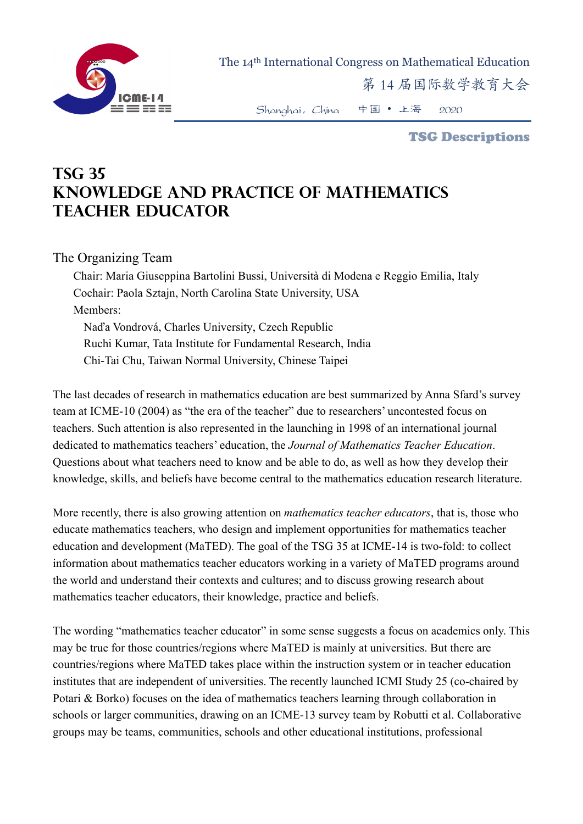

The 14th International Congress on Mathematical Education

第 14 届国际数学教育大会

Shanghai,China 中国 • 上海 2020

TSG Descriptions

## **TSG 35 Knowledge and Practice of Mathematics Teacher Educator**

## The Organizing Team

Chair: Maria Giuseppina Bartolini Bussi, Università di Modena e Reggio Emilia, Italy Cochair: Paola Sztajn, North Carolina State University, USA Members: Naďa Vondrová, Charles University, Czech Republic Ruchi Kumar, Tata Institute for Fundamental Research, India Chi-Tai Chu, Taiwan Normal University, Chinese Taipei

The last decades of research in mathematics education are best summarized by Anna Sfard's survey team at ICME-10 (2004) as "the era of the teacher" due to researchers' uncontested focus on teachers. Such attention is also represented in the launching in 1998 of an international journal dedicated to mathematics teachers' education, the *Journal of Mathematics Teacher Education*. Questions about what teachers need to know and be able to do, as well as how they develop their knowledge, skills, and beliefs have become central to the mathematics education research literature.

More recently, there is also growing attention on *mathematics teacher educators*, that is, those who educate mathematics teachers, who design and implement opportunities for mathematics teacher education and development (MaTED). The goal of the TSG 35 at ICME-14 is two-fold: to collect information about mathematics teacher educators working in a variety of MaTED programs around the world and understand their contexts and cultures; and to discuss growing research about mathematics teacher educators, their knowledge, practice and beliefs.

The wording "mathematics teacher educator" in some sense suggests a focus on academics only. This may be true for those countries/regions where MaTED is mainly at universities. But there are countries/regions where MaTED takes place within the instruction system or in teacher education institutes that are independent of universities. The recently launched ICMI Study 25 (co-chaired by Potari & Borko) focuses on the idea of mathematics teachers learning through collaboration in schools or larger communities, drawing on an ICME-13 survey team by Robutti et al. Collaborative groups may be teams, communities, schools and other educational institutions, professional